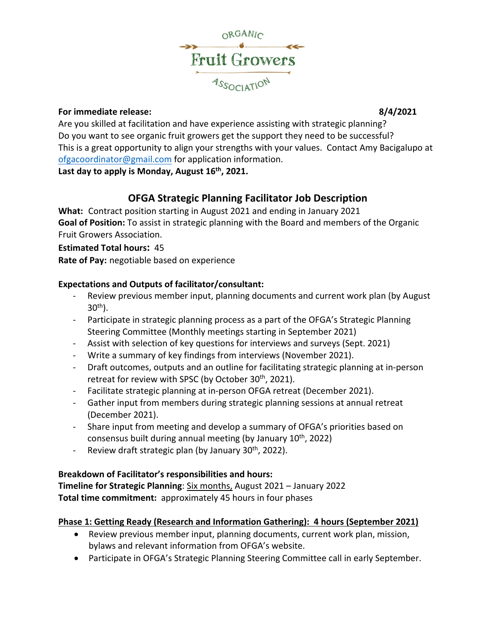

## **For immediate release: 8/4/2021**

Are you skilled at facilitation and have experience assisting with strategic planning? Do you want to see organic fruit growers get the support they need to be successful? This is a great opportunity to align your strengths with your values. Contact Amy Bacigalupo at [ofgacoordinator@gmail.com](mailto:ofgacoordinator@gmail.com) for application information. **Last day to apply is Monday, August 16th, 2021.**

# **OFGA Strategic Planning Facilitator Job Description**

**What:** Contract position starting in August 2021 and ending in January 2021 **Goal of Position:** To assist in strategic planning with the Board and members of the Organic Fruit Growers Association.

## **Estimated Total hours:** 45

**Rate of Pay:** negotiable based on experience

## **Expectations and Outputs of facilitator/consultant:**

- Review previous member input, planning documents and current work plan (by August  $30<sup>th</sup>$ ).
- Participate in strategic planning process as a part of the OFGA's Strategic Planning Steering Committee (Monthly meetings starting in September 2021)
- Assist with selection of key questions for interviews and surveys (Sept. 2021)
- Write a summary of key findings from interviews (November 2021).
- Draft outcomes, outputs and an outline for facilitating strategic planning at in-person retreat for review with SPSC (by October 30<sup>th</sup>, 2021).
- Facilitate strategic planning at in-person OFGA retreat (December 2021).
- Gather input from members during strategic planning sessions at annual retreat (December 2021).
- Share input from meeting and develop a summary of OFGA's priorities based on consensus built during annual meeting (by January  $10<sup>th</sup>$ , 2022)
- Review draft strategic plan (by January  $30<sup>th</sup>$ , 2022).

## **Breakdown of Facilitator's responsibilities and hours:**

**Timeline for Strategic Planning**: Six months, August 2021 – January 2022 **Total time commitment:** approximately 45 hours in four phases

## **Phase 1: Getting Ready (Research and Information Gathering): 4 hours (September 2021)**

- Review previous member input, planning documents, current work plan, mission, bylaws and relevant information from OFGA's website.
- Participate in OFGA's Strategic Planning Steering Committee call in early September.